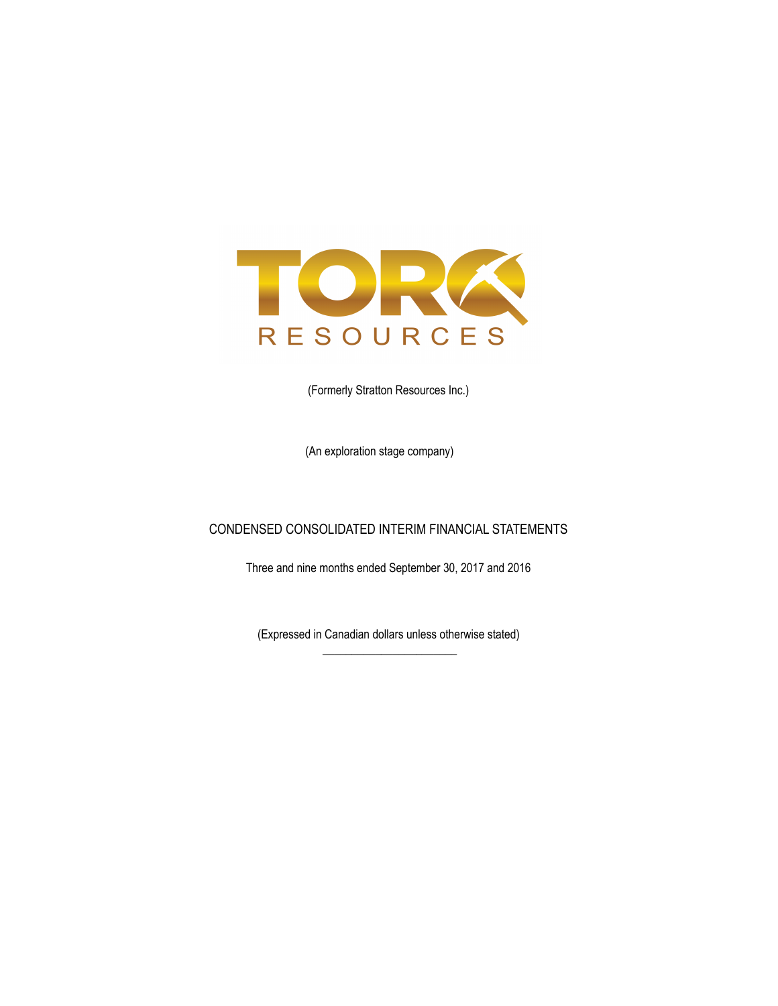

(Formerly Stratton Resources Inc.)

(An exploration stage company)

# CONDENSED CONSOLIDATED INTERIM FINANCIAL STATEMENTS

Three and nine months ended September 30, 2017 and 2016

(Expressed in Canadian dollars unless otherwise stated)  $\overline{\phantom{a}}$  , where the contract of the contract of the contract of the contract of the contract of the contract of the contract of the contract of the contract of the contract of the contract of the contract of the contr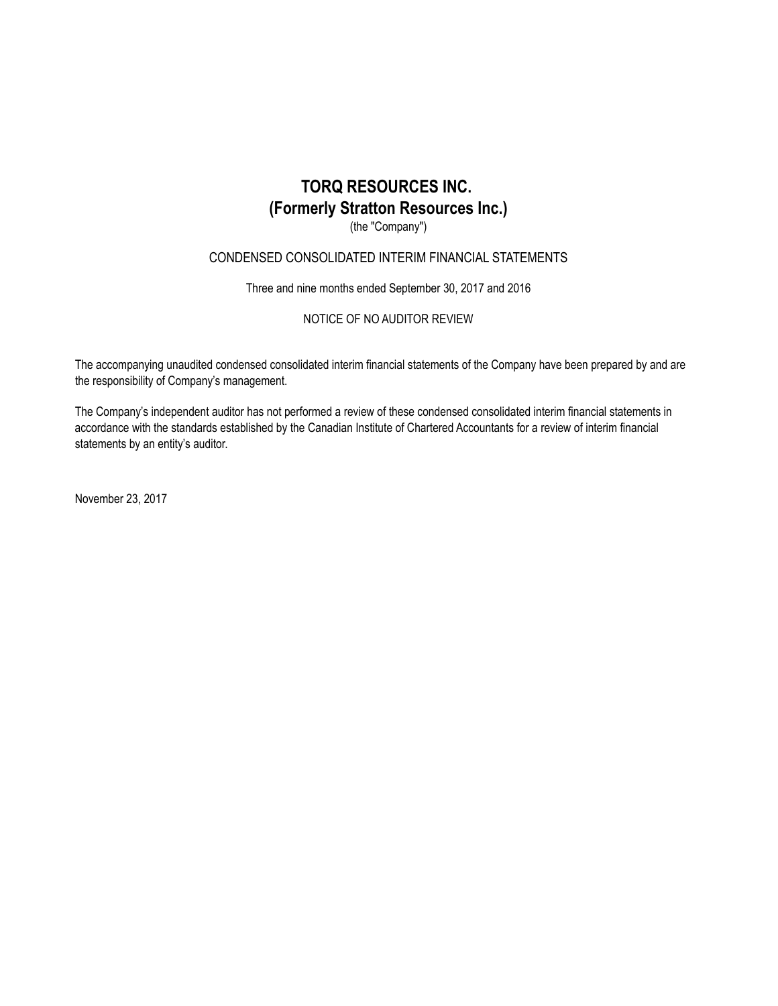(the "Company")

# CONDENSED CONSOLIDATED INTERIM FINANCIAL STATEMENTS

# Three and nine months ended September 30, 2017 and 2016

# NOTICE OF NO AUDITOR REVIEW

The accompanying unaudited condensed consolidated interim financial statements of the Company have been prepared by and are the responsibility of Company's management.

The Company's independent auditor has not performed a review of these condensed consolidated interim financial statements in accordance with the standards established by the Canadian Institute of Chartered Accountants for a review of interim financial statements by an entity's auditor.

November 23, 2017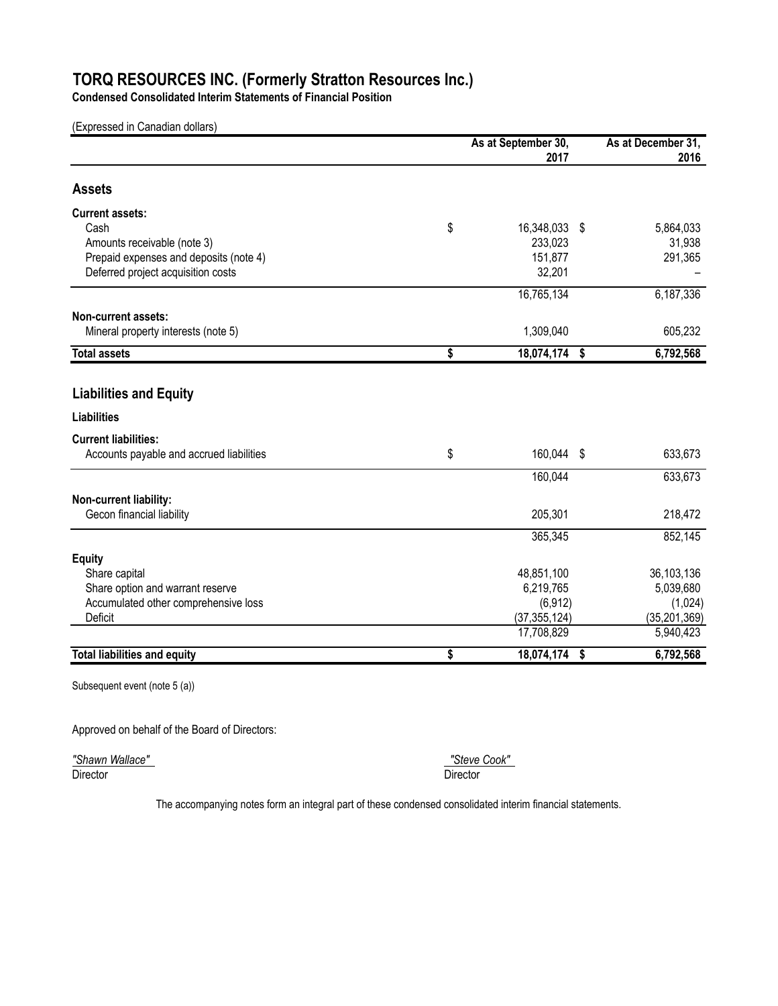**Condensed Consolidated Interim Statements of Financial Position**

(Expressed in Canadian dollars)

|                                          | As at September 30, |  |                |
|------------------------------------------|---------------------|--|----------------|
|                                          | 2017                |  | 2016           |
| <b>Assets</b>                            |                     |  |                |
| <b>Current assets:</b>                   |                     |  |                |
| Cash                                     | \$<br>16,348,033 \$ |  | 5,864,033      |
| Amounts receivable (note 3)              | 233,023             |  | 31,938         |
| Prepaid expenses and deposits (note 4)   | 151,877             |  | 291,365        |
| Deferred project acquisition costs       | 32,201              |  |                |
|                                          | 16,765,134          |  | 6,187,336      |
| <b>Non-current assets:</b>               |                     |  |                |
| Mineral property interests (note 5)      | 1,309,040           |  | 605,232        |
| <b>Total assets</b>                      | \$<br>18,074,174 \$ |  | 6,792,568      |
|                                          |                     |  |                |
| <b>Liabilities and Equity</b>            |                     |  |                |
| <b>Liabilities</b>                       |                     |  |                |
| <b>Current liabilities:</b>              |                     |  |                |
| Accounts payable and accrued liabilities | \$<br>160,044 \$    |  | 633,673        |
|                                          | 160,044             |  | 633,673        |
| Non-current liability:                   |                     |  |                |
| Gecon financial liability                | 205,301             |  | 218,472        |
|                                          | 365,345             |  | 852,145        |
| <b>Equity</b>                            |                     |  |                |
| Share capital                            | 48,851,100          |  | 36,103,136     |
| Share option and warrant reserve         | 6,219,765           |  | 5,039,680      |
| Accumulated other comprehensive loss     | (6, 912)            |  | (1,024)        |
| Deficit                                  | (37, 355, 124)      |  | (35, 201, 369) |
|                                          | 17,708,829          |  | 5,940,423      |
| <b>Total liabilities and equity</b>      | \$<br>18,074,174 \$ |  | 6,792,568      |
|                                          |                     |  |                |

Subsequent event (note 5 (a))

Approved on behalf of the Board of Directors:

*"Shawn Wallace" "Steve Cook"*  Director Director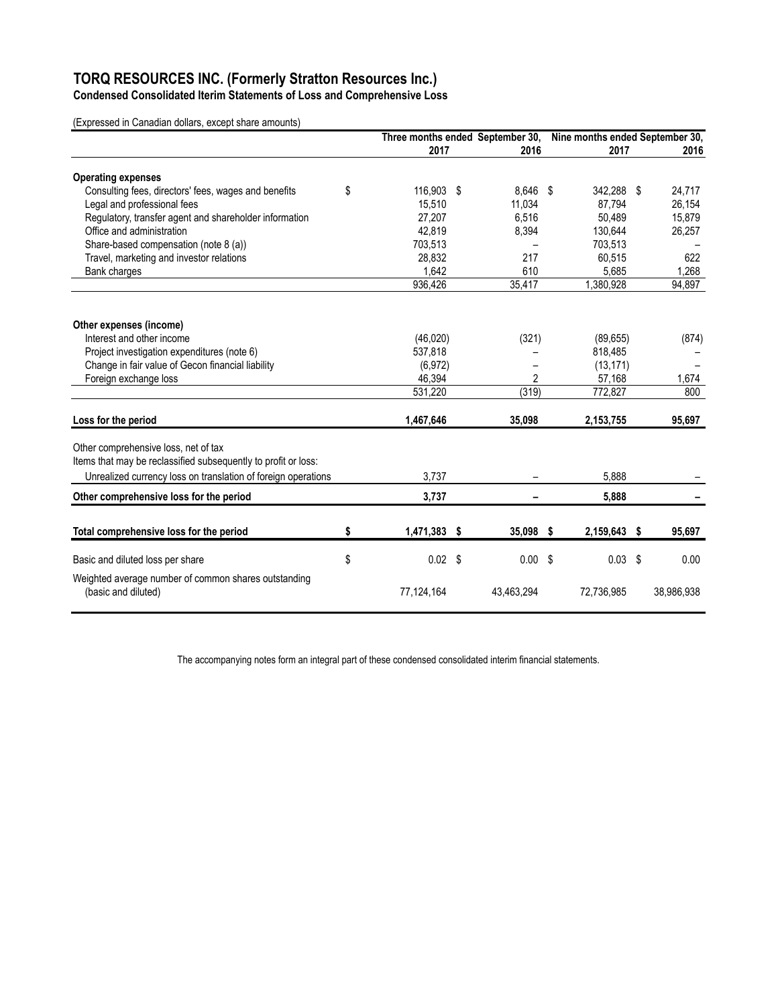**Condensed Consolidated Iterim Statements of Loss and Comprehensive Loss**

(Expressed in Canadian dollars, except share amounts)

|                                                                                                                                                                         | Three months ended September 30, Nine months ended September 30, |  |                   |                   |  |            |
|-------------------------------------------------------------------------------------------------------------------------------------------------------------------------|------------------------------------------------------------------|--|-------------------|-------------------|--|------------|
|                                                                                                                                                                         | 2017                                                             |  | 2016              | 2017              |  | 2016       |
| <b>Operating expenses</b>                                                                                                                                               |                                                                  |  |                   |                   |  |            |
| Consulting fees, directors' fees, wages and benefits                                                                                                                    | \$<br>116,903 \$                                                 |  | 8,646 \$          | 342,288 \$        |  | 24,717     |
| Legal and professional fees                                                                                                                                             | 15,510                                                           |  | 11,034            | 87,794            |  | 26,154     |
| Regulatory, transfer agent and shareholder information                                                                                                                  | 27,207                                                           |  | 6,516             | 50,489            |  | 15,879     |
| Office and administration                                                                                                                                               | 42,819                                                           |  | 8,394             | 130,644           |  | 26,257     |
| Share-based compensation (note 8 (a))                                                                                                                                   | 703,513                                                          |  |                   | 703,513           |  |            |
| Travel, marketing and investor relations                                                                                                                                | 28,832                                                           |  | 217               | 60,515            |  | 622        |
| Bank charges                                                                                                                                                            | 1.642                                                            |  | 610               | 5.685             |  | 1.268      |
|                                                                                                                                                                         | 936,426                                                          |  | 35,417            | 1,380,928         |  | 94,897     |
|                                                                                                                                                                         |                                                                  |  |                   |                   |  |            |
| Other expenses (income)                                                                                                                                                 |                                                                  |  |                   |                   |  |            |
| Interest and other income                                                                                                                                               | (46,020)                                                         |  | (321)             | (89,655)          |  | (874)      |
| Project investigation expenditures (note 6)                                                                                                                             | 537,818                                                          |  |                   | 818,485           |  |            |
| Change in fair value of Gecon financial liability                                                                                                                       | (6, 972)                                                         |  |                   | (13, 171)         |  |            |
| Foreign exchange loss                                                                                                                                                   | 46,394                                                           |  | 2                 | 57,168            |  | 1,674      |
|                                                                                                                                                                         | 531,220                                                          |  | (319)             | 772,827           |  | 800        |
| Loss for the period                                                                                                                                                     | 1,467,646                                                        |  | 35,098            | 2,153,755         |  | 95,697     |
| Other comprehensive loss, net of tax<br>Items that may be reclassified subsequently to profit or loss:<br>Unrealized currency loss on translation of foreign operations | 3,737                                                            |  |                   | 5.888             |  |            |
| Other comprehensive loss for the period                                                                                                                                 | 3,737                                                            |  |                   | 5.888             |  |            |
|                                                                                                                                                                         |                                                                  |  |                   |                   |  |            |
| Total comprehensive loss for the period                                                                                                                                 | \$<br>1,471,383 \$                                               |  | 35,098 \$         | 2,159,643 \$      |  | 95,697     |
| Basic and diluted loss per share                                                                                                                                        | \$<br>$0.02$ \$                                                  |  | 0.00 <sup>5</sup> | 0.03 <sup>5</sup> |  | 0.00       |
| Weighted average number of common shares outstanding<br>(basic and diluted)                                                                                             | 77,124,164                                                       |  | 43.463.294        | 72.736.985        |  | 38,986,938 |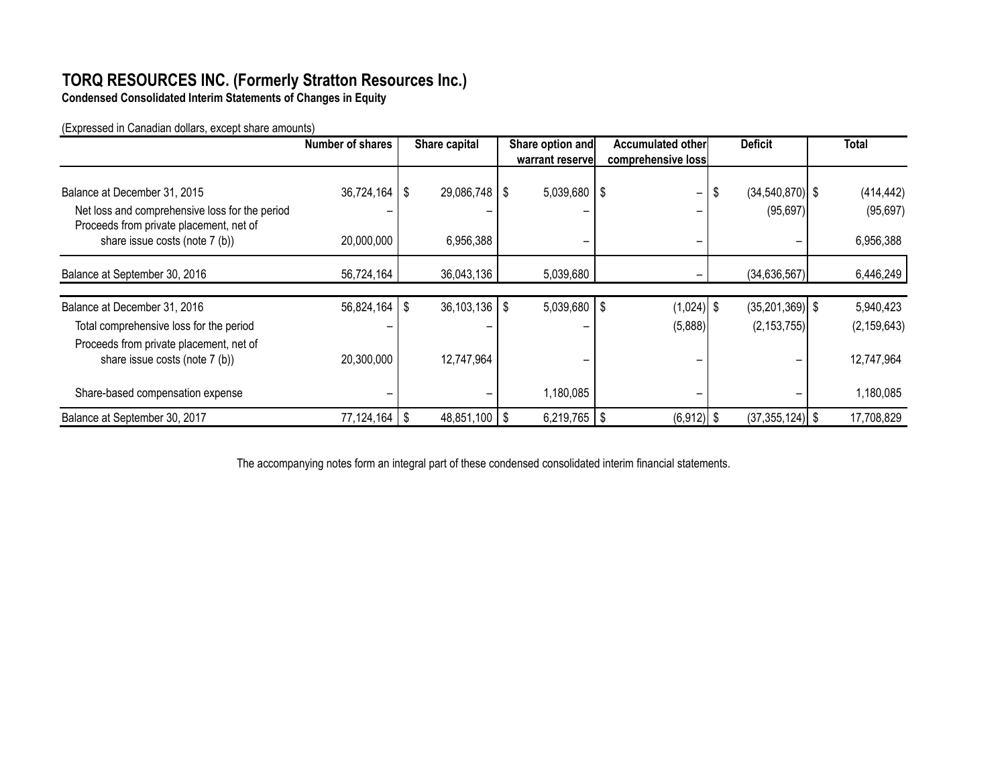**Condensed Consolidated Interim Statements of Changes in Equity**

(Expressed in Canadian dollars, except share amounts)

|                                                                                           | Number of shares  | Share capital     | Share option and | <b>Accumulated other</b> | <b>Deficit</b>            | Total         |
|-------------------------------------------------------------------------------------------|-------------------|-------------------|------------------|--------------------------|---------------------------|---------------|
|                                                                                           |                   |                   | warrant reservel | comprehensive loss       |                           |               |
| Balance at December 31, 2015                                                              | $36,724,164$   \$ | $29,086,748$ \ \$ | $5,039,680$   \$ | -                        | $(34, 540, 870)$ \$<br>\$ | (414, 442)    |
| Net loss and comprehensive loss for the period<br>Proceeds from private placement, net of |                   |                   |                  | -                        | (95, 697)                 | (95, 697)     |
| share issue costs (note 7 (b))                                                            | 20,000,000        | 6,956,388         |                  |                          |                           | 6,956,388     |
| Balance at September 30, 2016                                                             | 56,724,164        | 36,043,136        | 5,039,680        | -                        | (34, 636, 567)            | 6,446,249     |
| Balance at December 31, 2016                                                              | $56,824,164$ \ \$ | $36,103,136$   \$ | $5,039,680$ \$   | $(1,024)$ \$             | $(35,201,369)$ \$         | 5,940,423     |
| Total comprehensive loss for the period                                                   |                   |                   |                  | (5,888)                  | (2, 153, 755)             | (2, 159, 643) |
| Proceeds from private placement, net of<br>share issue costs (note 7 (b))                 | 20,300,000        | 12,747,964        |                  |                          |                           | 12,747,964    |
| Share-based compensation expense                                                          |                   |                   | 1,180,085        |                          |                           | 1,180,085     |
| Balance at September 30, 2017                                                             | $77,124,164$   \$ | $48,851,100$   \$ | $6,219,765$   \$ | $(6,912)$ \$             | $(37,355,124)$ \$         | 17,708,829    |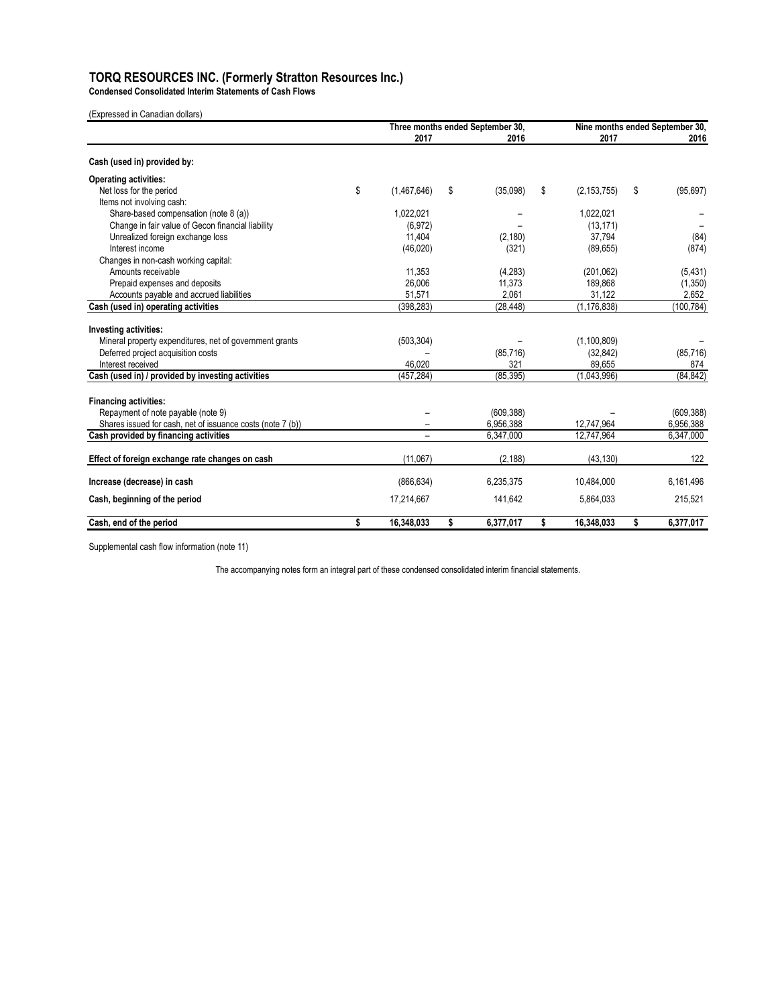**Condensed Consolidated Interim Statements of Cash Flows**

| (Expressed in Canadian dollars) |
|---------------------------------|
|---------------------------------|

|                                                            | Three months ended September 30, |    |            | Nine months ended September 30, |    |            |  |
|------------------------------------------------------------|----------------------------------|----|------------|---------------------------------|----|------------|--|
|                                                            | 2017                             |    | 2016       | 2017                            |    | 2016       |  |
| Cash (used in) provided by:                                |                                  |    |            |                                 |    |            |  |
| <b>Operating activities:</b>                               |                                  |    |            |                                 |    |            |  |
| Net loss for the period                                    | \$<br>(1,467,646)                | \$ | (35,098)   | \$<br>(2, 153, 755)             | \$ | (95, 697)  |  |
| Items not involving cash:                                  |                                  |    |            |                                 |    |            |  |
| Share-based compensation (note 8 (a))                      | 1,022,021                        |    |            | 1,022,021                       |    |            |  |
| Change in fair value of Gecon financial liability          | (6, 972)                         |    |            | (13, 171)                       |    |            |  |
| Unrealized foreign exchange loss                           | 11,404                           |    | (2, 180)   | 37,794                          |    | (84)       |  |
| Interest income                                            | (46, 020)                        |    | (321)      | (89,655)                        |    | (874)      |  |
| Changes in non-cash working capital:                       |                                  |    |            |                                 |    |            |  |
| Amounts receivable                                         | 11,353                           |    | (4,283)    | (201, 062)                      |    | (5, 431)   |  |
| Prepaid expenses and deposits                              | 26,006                           |    | 11,373     | 189,868                         |    | (1,350)    |  |
| Accounts payable and accrued liabilities                   | 51,571                           |    | 2.061      | 31,122                          |    | 2,652      |  |
| Cash (used in) operating activities                        | (398, 283)                       |    | (28, 448)  | (1, 176, 838)                   |    | (100, 784) |  |
| Investing activities:                                      |                                  |    |            |                                 |    |            |  |
| Mineral property expenditures, net of government grants    | (503, 304)                       |    |            | (1,100,809)                     |    |            |  |
| Deferred project acquisition costs                         |                                  |    | (85, 716)  | (32, 842)                       |    | (85, 716)  |  |
| Interest received                                          | 46.020                           |    | 321        | 89.655                          |    | 874        |  |
| Cash (used in) / provided by investing activities          | (457.284)                        |    | (85, 395)  | (1,043,996)                     |    | (84, 842)  |  |
|                                                            |                                  |    |            |                                 |    |            |  |
| <b>Financing activities:</b>                               |                                  |    |            |                                 |    |            |  |
| Repayment of note payable (note 9)                         |                                  |    | (609, 388) |                                 |    | (609, 388) |  |
| Shares issued for cash, net of issuance costs (note 7 (b)) |                                  |    | 6,956,388  | 12,747,964                      |    | 6,956,388  |  |
| Cash provided by financing activities                      |                                  |    | 6,347,000  | 12,747,964                      |    | 6,347,000  |  |
| Effect of foreign exchange rate changes on cash            | (11,067)                         |    | (2, 188)   | (43, 130)                       |    | 122        |  |
| Increase (decrease) in cash                                | (866, 634)                       |    | 6,235,375  | 10,484,000                      |    | 6,161,496  |  |
| Cash, beginning of the period                              | 17,214,667                       |    | 141,642    | 5,864,033                       |    | 215,521    |  |
| Cash, end of the period                                    | \$<br>16,348,033                 | \$ | 6,377,017  | \$<br>16,348,033                | \$ | 6,377,017  |  |

Supplemental cash flow information (note 11)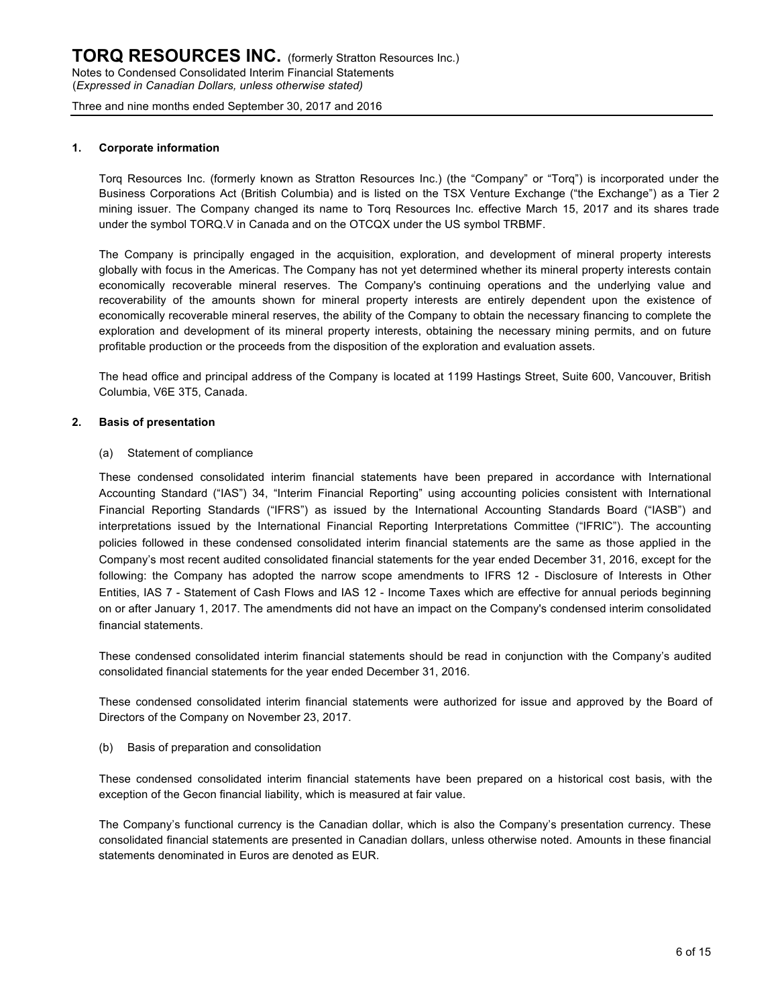#### **1. Corporate information**

Torq Resources Inc. (formerly known as Stratton Resources Inc.) (the "Company" or "Torq") is incorporated under the Business Corporations Act (British Columbia) and is listed on the TSX Venture Exchange ("the Exchange") as a Tier 2 mining issuer. The Company changed its name to Torq Resources Inc. effective March 15, 2017 and its shares trade under the symbol TORQ.V in Canada and on the OTCQX under the US symbol TRBMF.

The Company is principally engaged in the acquisition, exploration, and development of mineral property interests globally with focus in the Americas. The Company has not yet determined whether its mineral property interests contain economically recoverable mineral reserves. The Company's continuing operations and the underlying value and recoverability of the amounts shown for mineral property interests are entirely dependent upon the existence of economically recoverable mineral reserves, the ability of the Company to obtain the necessary financing to complete the exploration and development of its mineral property interests, obtaining the necessary mining permits, and on future profitable production or the proceeds from the disposition of the exploration and evaluation assets.

The head office and principal address of the Company is located at 1199 Hastings Street, Suite 600, Vancouver, British Columbia, V6E 3T5, Canada.

#### **2. Basis of presentation**

#### (a) Statement of compliance

These condensed consolidated interim financial statements have been prepared in accordance with International Accounting Standard ("IAS") 34, "Interim Financial Reporting" using accounting policies consistent with International Financial Reporting Standards ("IFRS") as issued by the International Accounting Standards Board ("IASB") and interpretations issued by the International Financial Reporting Interpretations Committee ("IFRIC"). The accounting policies followed in these condensed consolidated interim financial statements are the same as those applied in the Company's most recent audited consolidated financial statements for the year ended December 31, 2016, except for the following: the Company has adopted the narrow scope amendments to IFRS 12 - Disclosure of Interests in Other Entities, IAS 7 - Statement of Cash Flows and IAS 12 - Income Taxes which are effective for annual periods beginning on or after January 1, 2017. The amendments did not have an impact on the Company's condensed interim consolidated financial statements.

These condensed consolidated interim financial statements should be read in conjunction with the Company's audited consolidated financial statements for the year ended December 31, 2016.

These condensed consolidated interim financial statements were authorized for issue and approved by the Board of Directors of the Company on November 23, 2017.

#### (b) Basis of preparation and consolidation

These condensed consolidated interim financial statements have been prepared on a historical cost basis, with the exception of the Gecon financial liability, which is measured at fair value.

The Company's functional currency is the Canadian dollar, which is also the Company's presentation currency. These consolidated financial statements are presented in Canadian dollars, unless otherwise noted. Amounts in these financial statements denominated in Euros are denoted as EUR.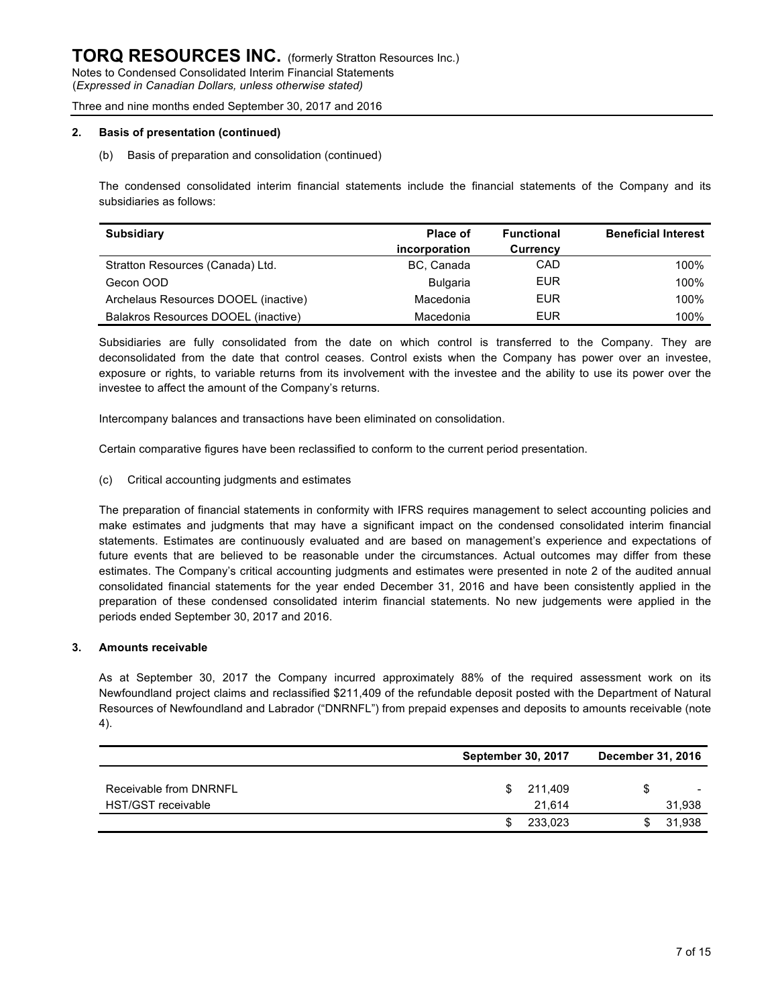# **2. Basis of presentation (continued)**

#### (b) Basis of preparation and consolidation (continued)

The condensed consolidated interim financial statements include the financial statements of the Company and its subsidiaries as follows:

| <b>Subsidiary</b>                    | Place of        | <b>Functional</b> | <b>Beneficial Interest</b> |
|--------------------------------------|-----------------|-------------------|----------------------------|
|                                      | incorporation   | Currency          |                            |
| Stratton Resources (Canada) Ltd.     | BC, Canada      | CAD               | 100%                       |
| Gecon OOD                            | <b>Bulgaria</b> | EUR               | 100%                       |
| Archelaus Resources DOOEL (inactive) | Macedonia       | EUR               | 100%                       |
| Balakros Resources DOOEL (inactive)  | Macedonia       | EUR               | 100%                       |

Subsidiaries are fully consolidated from the date on which control is transferred to the Company. They are deconsolidated from the date that control ceases. Control exists when the Company has power over an investee, exposure or rights, to variable returns from its involvement with the investee and the ability to use its power over the investee to affect the amount of the Company's returns.

Intercompany balances and transactions have been eliminated on consolidation.

Certain comparative figures have been reclassified to conform to the current period presentation.

(c) Critical accounting judgments and estimates

The preparation of financial statements in conformity with IFRS requires management to select accounting policies and make estimates and judgments that may have a significant impact on the condensed consolidated interim financial statements. Estimates are continuously evaluated and are based on management's experience and expectations of future events that are believed to be reasonable under the circumstances. Actual outcomes may differ from these estimates. The Company's critical accounting judgments and estimates were presented in note 2 of the audited annual consolidated financial statements for the year ended December 31, 2016 and have been consistently applied in the preparation of these condensed consolidated interim financial statements. No new judgements were applied in the periods ended September 30, 2017 and 2016.

# **3. Amounts receivable**

As at September 30, 2017 the Company incurred approximately 88% of the required assessment work on its Newfoundland project claims and reclassified \$211,409 of the refundable deposit posted with the Department of Natural Resources of Newfoundland and Labrador ("DNRNFL") from prepaid expenses and deposits to amounts receivable (note 4).

|                                                     | <b>September 30, 2017</b> |  |                                    |
|-----------------------------------------------------|---------------------------|--|------------------------------------|
| Receivable from DNRNFL<br><b>HST/GST</b> receivable | 211.409<br>21.614         |  | $\overline{\phantom{0}}$<br>31,938 |
|                                                     | 233,023                   |  | 31,938                             |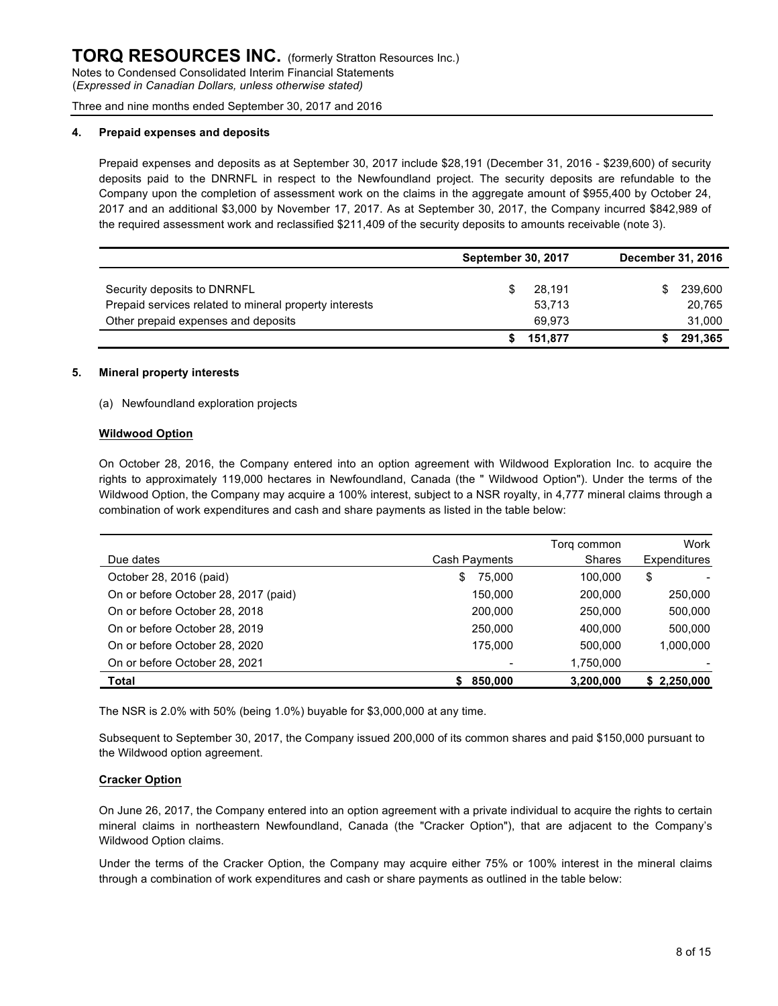#### **4. Prepaid expenses and deposits**

Prepaid expenses and deposits as at September 30, 2017 include \$28,191 (December 31, 2016 - \$239,600) of security deposits paid to the DNRNFL in respect to the Newfoundland project. The security deposits are refundable to the Company upon the completion of assessment work on the claims in the aggregate amount of \$955,400 by October 24, 2017 and an additional \$3,000 by November 17, 2017. As at September 30, 2017, the Company incurred \$842,989 of the required assessment work and reclassified \$211,409 of the security deposits to amounts receivable (note 3).

|                                                        | <b>September 30, 2017</b> |         | December 31, 2016 |         |  |
|--------------------------------------------------------|---------------------------|---------|-------------------|---------|--|
| Security deposits to DNRNFL                            |                           | 28,191  | \$.               | 239,600 |  |
| Prepaid services related to mineral property interests |                           | 53,713  |                   | 20,765  |  |
| Other prepaid expenses and deposits                    |                           | 69.973  |                   | 31.000  |  |
|                                                        |                           | 151.877 |                   | 291.365 |  |

#### **5. Mineral property interests**

#### (a) Newfoundland exploration projects

# **Wildwood Option**

On October 28, 2016, the Company entered into an option agreement with Wildwood Exploration Inc. to acquire the rights to approximately 119,000 hectares in Newfoundland, Canada (the " Wildwood Option"). Under the terms of the Wildwood Option, the Company may acquire a 100% interest, subject to a NSR royalty, in 4,777 mineral claims through a combination of work expenditures and cash and share payments as listed in the table below:

|                                      |               | Torg common   | Work         |
|--------------------------------------|---------------|---------------|--------------|
| Due dates                            | Cash Payments | <b>Shares</b> | Expenditures |
| October 28, 2016 (paid)              | 75.000<br>\$  | 100.000       | \$           |
| On or before October 28, 2017 (paid) | 150.000       | 200,000       | 250,000      |
| On or before October 28, 2018        | 200,000       | 250,000       | 500,000      |
| On or before October 28, 2019        | 250,000       | 400.000       | 500,000      |
| On or before October 28, 2020        | 175.000       | 500.000       | 1,000,000    |
| On or before October 28, 2021        |               | 1,750,000     |              |
| Total                                | 850,000       | 3,200,000     | \$2,250,000  |

The NSR is 2.0% with 50% (being 1.0%) buyable for \$3,000,000 at any time.

Subsequent to September 30, 2017, the Company issued 200,000 of its common shares and paid \$150,000 pursuant to the Wildwood option agreement.

# **Cracker Option**

On June 26, 2017, the Company entered into an option agreement with a private individual to acquire the rights to certain mineral claims in northeastern Newfoundland, Canada (the "Cracker Option"), that are adjacent to the Company's Wildwood Option claims.

Under the terms of the Cracker Option, the Company may acquire either 75% or 100% interest in the mineral claims through a combination of work expenditures and cash or share payments as outlined in the table below: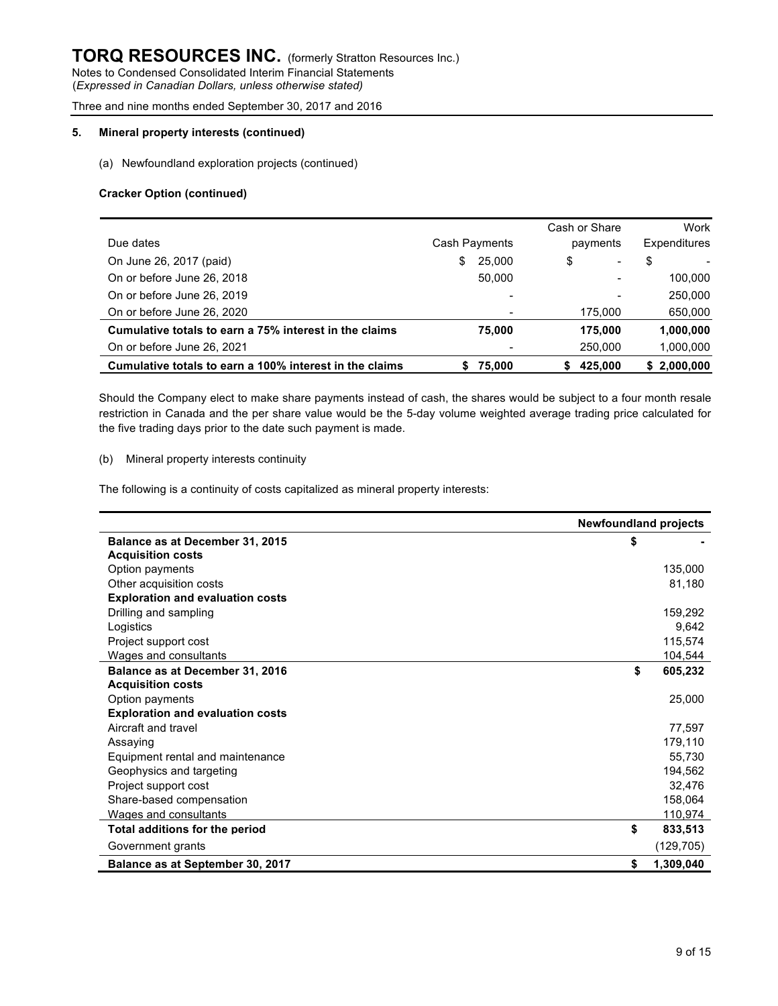(*Expressed in Canadian Dollars, unless otherwise stated)*

Three and nine months ended September 30, 2017 and 2016

# **5. Mineral property interests (continued)**

(a) Newfoundland exploration projects (continued)

#### **Cracker Option (continued)**

| Due dates                                               | Cash Payments | Cash or Share<br>payments | Work<br>Expenditures |
|---------------------------------------------------------|---------------|---------------------------|----------------------|
| On June 26, 2017 (paid)                                 | 25,000<br>\$  | \$<br>-                   | \$                   |
| On or before June 26, 2018                              | 50.000        |                           | 100,000              |
| On or before June 26, 2019                              |               |                           | 250,000              |
| On or before June 26, 2020                              |               | 175,000                   | 650,000              |
| Cumulative totals to earn a 75% interest in the claims  | 75,000        | 175.000                   | 1,000,000            |
| On or before June 26, 2021                              |               | 250,000                   | 1,000,000            |
| Cumulative totals to earn a 100% interest in the claims | 75,000        | 425.000                   | \$2,000,000          |

Should the Company elect to make share payments instead of cash, the shares would be subject to a four month resale restriction in Canada and the per share value would be the 5-day volume weighted average trading price calculated for the five trading days prior to the date such payment is made.

#### (b) Mineral property interests continuity

The following is a continuity of costs capitalized as mineral property interests:

|                                         | <b>Newfoundland projects</b> |            |  |
|-----------------------------------------|------------------------------|------------|--|
| Balance as at December 31, 2015         | \$                           |            |  |
| <b>Acquisition costs</b>                |                              |            |  |
| Option payments                         |                              | 135,000    |  |
| Other acquisition costs                 |                              | 81,180     |  |
| <b>Exploration and evaluation costs</b> |                              |            |  |
| Drilling and sampling                   |                              | 159,292    |  |
| Logistics                               |                              | 9,642      |  |
| Project support cost                    |                              | 115,574    |  |
| Wages and consultants                   |                              | 104,544    |  |
| Balance as at December 31, 2016         | \$                           | 605,232    |  |
| <b>Acquisition costs</b>                |                              |            |  |
| Option payments                         |                              | 25,000     |  |
| <b>Exploration and evaluation costs</b> |                              |            |  |
| Aircraft and travel                     |                              | 77,597     |  |
| Assaying                                |                              | 179,110    |  |
| Equipment rental and maintenance        |                              | 55,730     |  |
| Geophysics and targeting                |                              | 194,562    |  |
| Project support cost                    |                              | 32,476     |  |
| Share-based compensation                |                              | 158,064    |  |
| Wages and consultants                   |                              | 110,974    |  |
| Total additions for the period          | \$                           | 833,513    |  |
| Government grants                       |                              | (129, 705) |  |
| Balance as at September 30, 2017        | \$                           | 1,309,040  |  |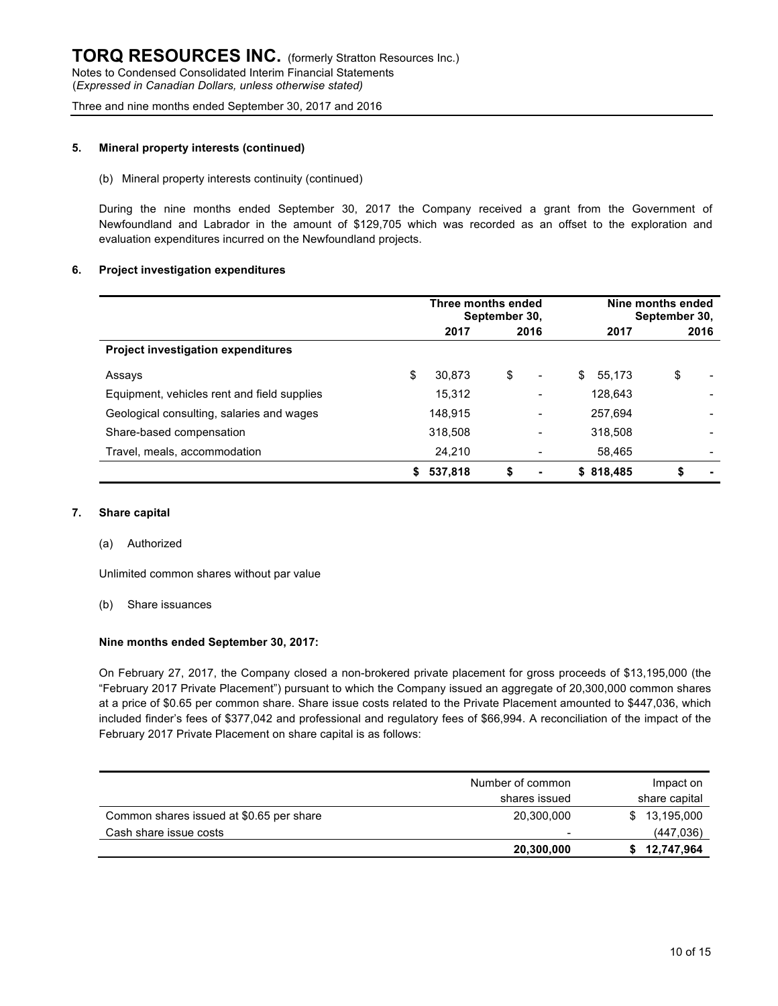#### **5. Mineral property interests (continued)**

#### (b) Mineral property interests continuity (continued)

During the nine months ended September 30, 2017 the Company received a grant from the Government of Newfoundland and Labrador in the amount of \$129,705 which was recorded as an offset to the exploration and evaluation expenditures incurred on the Newfoundland projects.

#### **6. Project investigation expenditures**

|                                             | Three months ended<br>September 30, |    |                          | Nine months ended<br>September 30, |           |    |      |
|---------------------------------------------|-------------------------------------|----|--------------------------|------------------------------------|-----------|----|------|
|                                             | 2017                                |    | 2016                     |                                    | 2017      |    | 2016 |
| <b>Project investigation expenditures</b>   |                                     |    |                          |                                    |           |    |      |
| Assays                                      | \$<br>30.873                        | \$ | $\overline{\phantom{0}}$ | \$                                 | 55,173    | \$ |      |
| Equipment, vehicles rent and field supplies | 15.312                              |    |                          |                                    | 128,643   |    |      |
| Geological consulting, salaries and wages   | 148,915                             |    | $\overline{\phantom{0}}$ |                                    | 257.694   |    |      |
| Share-based compensation                    | 318,508                             |    |                          |                                    | 318,508   |    |      |
| Travel, meals, accommodation                | 24,210                              |    |                          |                                    | 58,465    |    |      |
|                                             | 537,818                             | \$ |                          |                                    | \$818,485 | \$ |      |

#### **7. Share capital**

#### (a) Authorized

Unlimited common shares without par value

# (b) Share issuances

# **Nine months ended September 30, 2017:**

On February 27, 2017, the Company closed a non-brokered private placement for gross proceeds of \$13,195,000 (the "February 2017 Private Placement") pursuant to which the Company issued an aggregate of 20,300,000 common shares at a price of \$0.65 per common share. Share issue costs related to the Private Placement amounted to \$447,036, which included finder's fees of \$377,042 and professional and regulatory fees of \$66,994. A reconciliation of the impact of the February 2017 Private Placement on share capital is as follows:

|                                          | Number of common         | Impact on        |
|------------------------------------------|--------------------------|------------------|
|                                          | shares issued            | share capital    |
| Common shares issued at \$0.65 per share | 20,300,000               | 13,195,000<br>S. |
| Cash share issue costs                   | $\overline{\phantom{0}}$ | (447,036)        |
|                                          | 20,300,000               | 12,747,964       |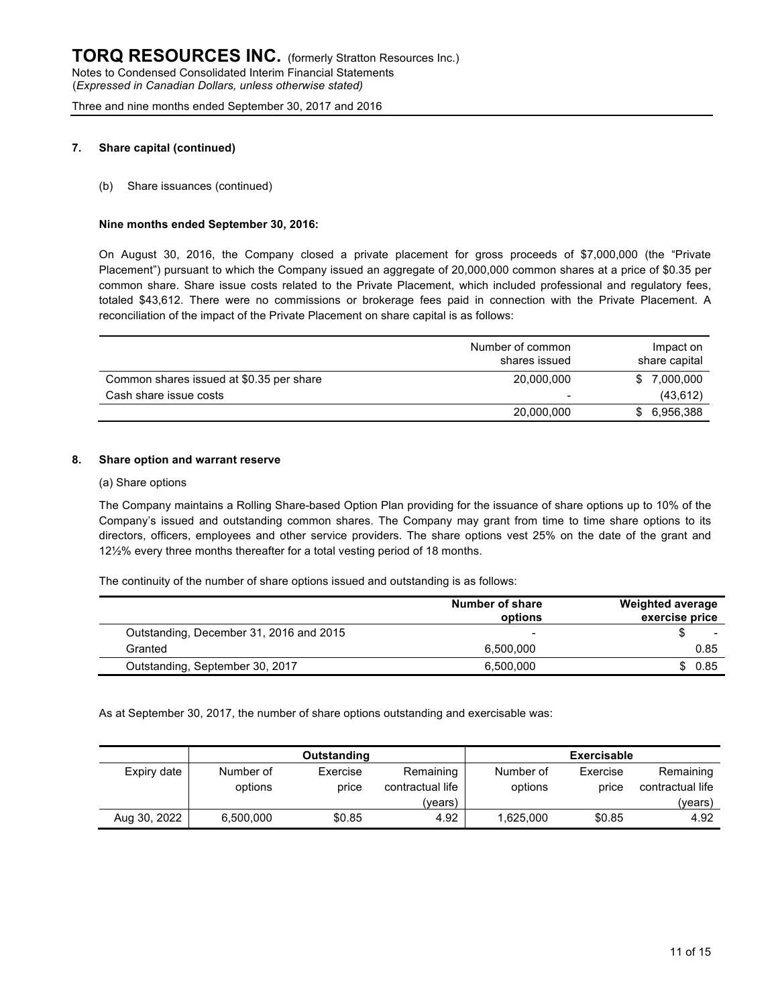# **7. Share capital (continued)**

#### (b) Share issuances (continued)

#### **Nine months ended September 30, 2016:**

On August 30, 2016, the Company closed a private placement for gross proceeds of \$7,000,000 (the "Private Placement") pursuant to which the Company issued an aggregate of 20,000,000 common shares at a price of \$0.35 per common share. Share issue costs related to the Private Placement, which included professional and regulatory fees, totaled \$43,612. There were no commissions or brokerage fees paid in connection with the Private Placement. A reconciliation of the impact of the Private Placement on share capital is as follows:

|                                          | Number of common<br>shares issued | Impact on<br>share capital |
|------------------------------------------|-----------------------------------|----------------------------|
| Common shares issued at \$0.35 per share | 20,000,000                        | 7,000,000<br>S.            |
| Cash share issue costs                   | $\overline{\phantom{0}}$          | (43, 612)                  |
|                                          | 20,000,000                        | 6.956.388                  |

# **8. Share option and warrant reserve**

#### (a) Share options

The Company maintains a Rolling Share-based Option Plan providing for the issuance of share options up to 10% of the Company's issued and outstanding common shares. The Company may grant from time to time share options to its directors, officers, employees and other service providers. The share options vest 25% on the date of the grant and 12½% every three months thereafter for a total vesting period of 18 months.

The continuity of the number of share options issued and outstanding is as follows:

|                                         | Number of share<br>options | <b>Weighted average</b><br>exercise price |
|-----------------------------------------|----------------------------|-------------------------------------------|
| Outstanding, December 31, 2016 and 2015 | -                          |                                           |
| Granted                                 | 6.500.000                  | 0.85                                      |
| Outstanding, September 30, 2017         | 6,500,000                  | \$0.85                                    |

As at September 30, 2017, the number of share options outstanding and exercisable was:

|              | Outstanding          |                   |                               |                      | <b>Exercisable</b> |                               |
|--------------|----------------------|-------------------|-------------------------------|----------------------|--------------------|-------------------------------|
| Expiry date  | Number of<br>options | Exercise<br>price | Remaining<br>contractual life | Number of<br>options | Exercise<br>price  | Remaining<br>contractual life |
|              |                      |                   | (vears)                       |                      |                    | (vears)                       |
| Aug 30, 2022 | 6,500,000            | \$0.85            | 4.92                          | 1.625.000            | \$0.85             | 4.92                          |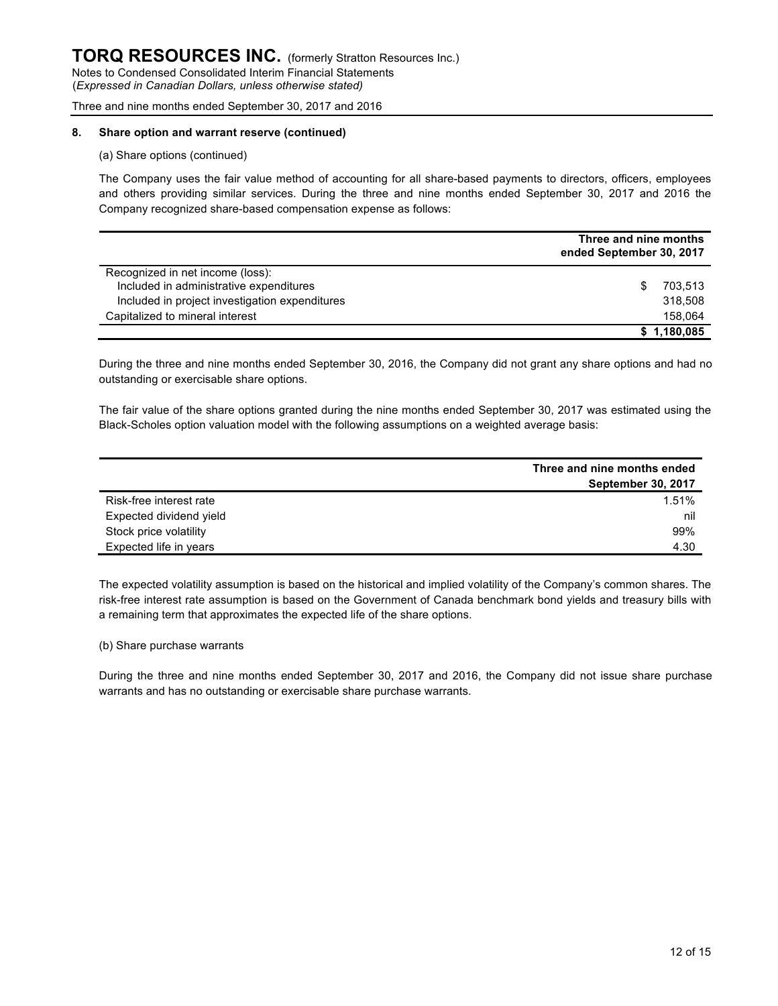#### **8. Share option and warrant reserve (continued)**

#### (a) Share options (continued)

The Company uses the fair value method of accounting for all share-based payments to directors, officers, employees and others providing similar services. During the three and nine months ended September 30, 2017 and 2016 the Company recognized share-based compensation expense as follows:

|                                                | Three and nine months<br>ended September 30, 2017 |
|------------------------------------------------|---------------------------------------------------|
| Recognized in net income (loss):               |                                                   |
| Included in administrative expenditures        | 703.513<br>S                                      |
| Included in project investigation expenditures | 318,508                                           |
| Capitalized to mineral interest                | 158.064                                           |
|                                                | \$1,180,085                                       |

During the three and nine months ended September 30, 2016, the Company did not grant any share options and had no outstanding or exercisable share options.

The fair value of the share options granted during the nine months ended September 30, 2017 was estimated using the Black-Scholes option valuation model with the following assumptions on a weighted average basis:

|                         | Three and nine months ended |
|-------------------------|-----------------------------|
|                         | <b>September 30, 2017</b>   |
| Risk-free interest rate | 1.51%                       |
| Expected dividend yield | nil                         |
| Stock price volatility  | 99%                         |
| Expected life in years  | 4.30                        |

The expected volatility assumption is based on the historical and implied volatility of the Company's common shares. The risk-free interest rate assumption is based on the Government of Canada benchmark bond yields and treasury bills with a remaining term that approximates the expected life of the share options.

(b) Share purchase warrants

During the three and nine months ended September 30, 2017 and 2016, the Company did not issue share purchase warrants and has no outstanding or exercisable share purchase warrants.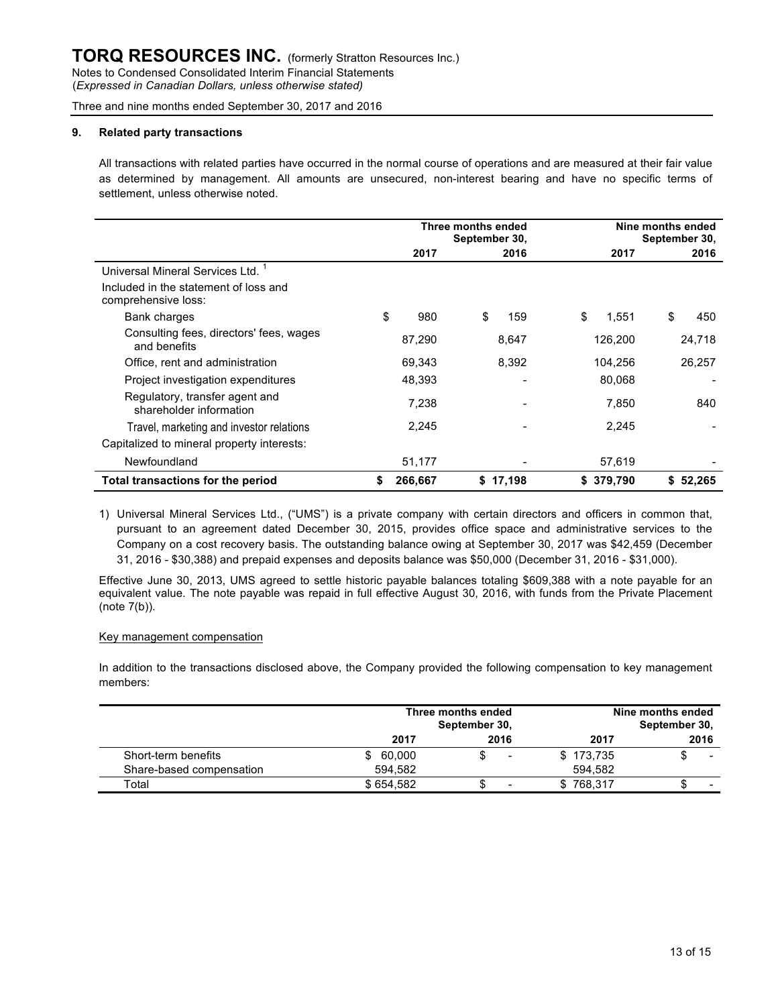# **9. Related party transactions**

All transactions with related parties have occurred in the normal course of operations and are measured at their fair value as determined by management. All amounts are unsecured, non-interest bearing and have no specific terms of settlement, unless otherwise noted.

|                                                              | Three months ended<br>September 30, |         |    |          | Nine months ended<br>September 30, |         |    |          |
|--------------------------------------------------------------|-------------------------------------|---------|----|----------|------------------------------------|---------|----|----------|
|                                                              |                                     | 2017    |    | 2016     |                                    | 2017    |    | 2016     |
| Universal Mineral Services Ltd. <sup>1</sup>                 |                                     |         |    |          |                                    |         |    |          |
| Included in the statement of loss and<br>comprehensive loss: |                                     |         |    |          |                                    |         |    |          |
| Bank charges                                                 | \$                                  | 980     | \$ | 159      | \$                                 | 1,551   | \$ | 450      |
| Consulting fees, directors' fees, wages<br>and benefits      |                                     | 87,290  |    | 8,647    |                                    | 126,200 |    | 24,718   |
| Office, rent and administration                              |                                     | 69,343  |    | 8,392    |                                    | 104,256 |    | 26,257   |
| Project investigation expenditures                           |                                     | 48,393  |    |          |                                    | 80,068  |    |          |
| Regulatory, transfer agent and<br>shareholder information    |                                     | 7,238   |    |          |                                    | 7,850   |    | 840      |
| Travel, marketing and investor relations                     |                                     | 2.245   |    |          |                                    | 2,245   |    |          |
| Capitalized to mineral property interests:                   |                                     |         |    |          |                                    |         |    |          |
| Newfoundland                                                 |                                     | 51,177  |    |          |                                    | 57,619  |    |          |
| Total transactions for the period                            | S                                   | 266,667 |    | \$17,198 | S.                                 | 379,790 |    | \$52,265 |

1) Universal Mineral Services Ltd., ("UMS") is a private company with certain directors and officers in common that, pursuant to an agreement dated December 30, 2015, provides office space and administrative services to the Company on a cost recovery basis. The outstanding balance owing at September 30, 2017 was \$42,459 (December 31, 2016 - \$30,388) and prepaid expenses and deposits balance was \$50,000 (December 31, 2016 - \$31,000).

Effective June 30, 2013, UMS agreed to settle historic payable balances totaling \$609,388 with a note payable for an equivalent value. The note payable was repaid in full effective August 30, 2016, with funds from the Private Placement (note 7(b)).

#### Key management compensation

In addition to the transactions disclosed above, the Company provided the following compensation to key management members:

|                          |           | Three months ended<br>September 30, |           | Nine months ended<br>September 30, |
|--------------------------|-----------|-------------------------------------|-----------|------------------------------------|
|                          | 2017      | 2016                                | 2017      | 2016                               |
| Short-term benefits      | 60.000    | $\overline{\phantom{a}}$<br>J       | \$173,735 | $\overline{\phantom{0}}$           |
| Share-based compensation | 594.582   |                                     | 594.582   |                                    |
| Total                    | \$654,582 | $\overline{\phantom{a}}$<br>Œ       | \$768,317 | $\overline{\phantom{0}}$           |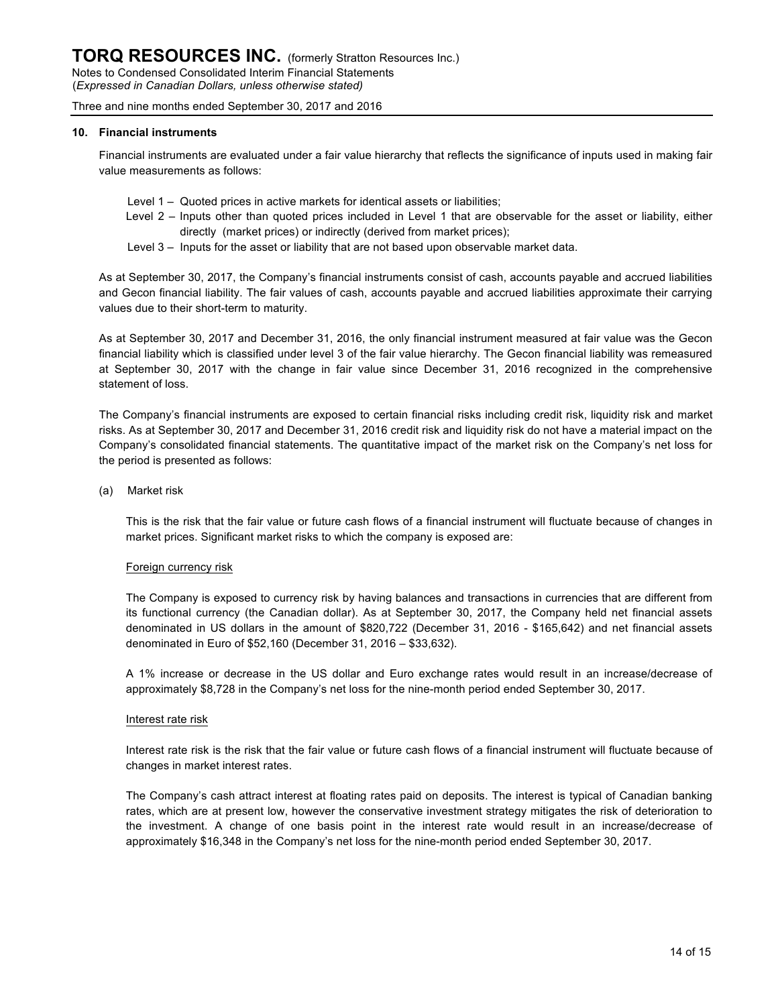#### **10. Financial instruments**

Financial instruments are evaluated under a fair value hierarchy that reflects the significance of inputs used in making fair value measurements as follows:

- Level 1 Quoted prices in active markets for identical assets or liabilities;
- Level 2 Inputs other than quoted prices included in Level 1 that are observable for the asset or liability, either directly (market prices) or indirectly (derived from market prices);
- Level 3 Inputs for the asset or liability that are not based upon observable market data.

As at September 30, 2017, the Company's financial instruments consist of cash, accounts payable and accrued liabilities and Gecon financial liability. The fair values of cash, accounts payable and accrued liabilities approximate their carrying values due to their short-term to maturity.

As at September 30, 2017 and December 31, 2016, the only financial instrument measured at fair value was the Gecon financial liability which is classified under level 3 of the fair value hierarchy. The Gecon financial liability was remeasured at September 30, 2017 with the change in fair value since December 31, 2016 recognized in the comprehensive statement of loss.

The Company's financial instruments are exposed to certain financial risks including credit risk, liquidity risk and market risks. As at September 30, 2017 and December 31, 2016 credit risk and liquidity risk do not have a material impact on the Company's consolidated financial statements. The quantitative impact of the market risk on the Company's net loss for the period is presented as follows:

(a) Market risk

This is the risk that the fair value or future cash flows of a financial instrument will fluctuate because of changes in market prices. Significant market risks to which the company is exposed are:

#### Foreign currency risk

The Company is exposed to currency risk by having balances and transactions in currencies that are different from its functional currency (the Canadian dollar). As at September 30, 2017, the Company held net financial assets denominated in US dollars in the amount of \$820,722 (December 31, 2016 - \$165,642) and net financial assets denominated in Euro of \$52,160 (December 31, 2016 – \$33,632).

A 1% increase or decrease in the US dollar and Euro exchange rates would result in an increase/decrease of approximately \$8,728 in the Company's net loss for the nine-month period ended September 30, 2017.

# Interest rate risk

Interest rate risk is the risk that the fair value or future cash flows of a financial instrument will fluctuate because of changes in market interest rates.

The Company's cash attract interest at floating rates paid on deposits. The interest is typical of Canadian banking rates, which are at present low, however the conservative investment strategy mitigates the risk of deterioration to the investment. A change of one basis point in the interest rate would result in an increase/decrease of approximately \$16,348 in the Company's net loss for the nine-month period ended September 30, 2017.